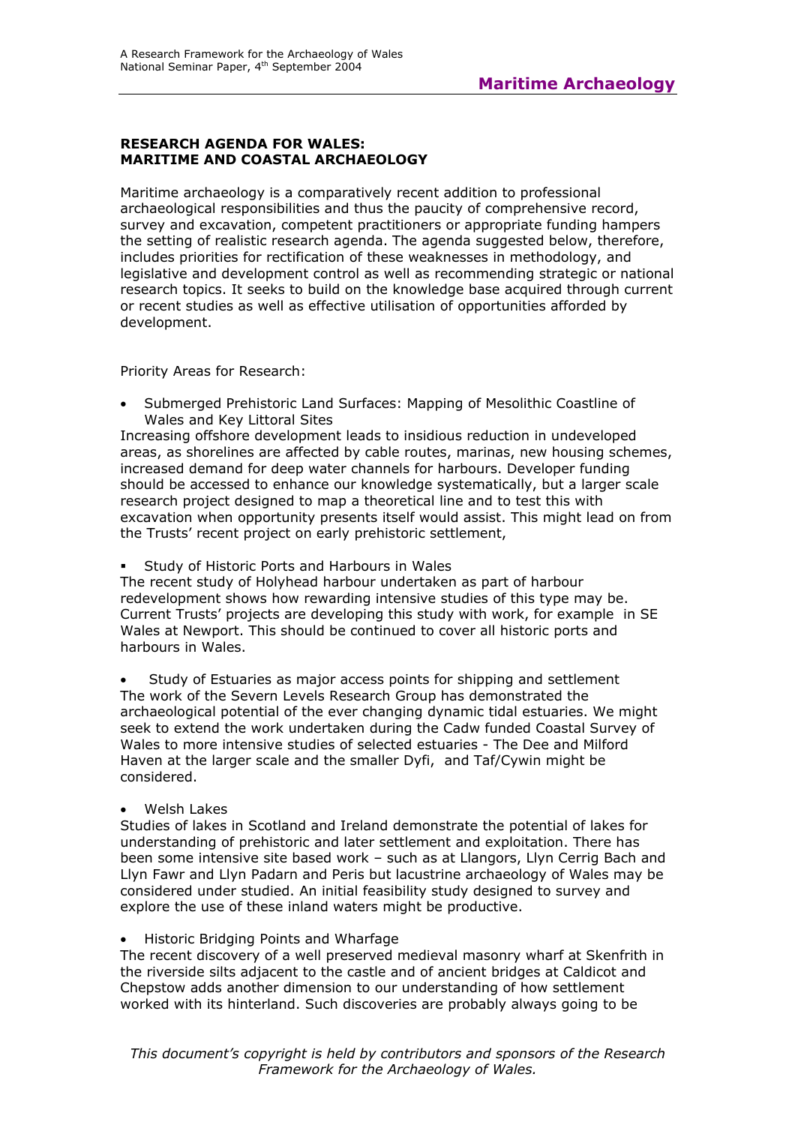## **RESEARCH AGENDA FOR WALES: MARITIME AND COASTAL ARCHAEOLOGY**

Maritime archaeology is a comparatively recent addition to professional archaeological responsibilities and thus the paucity of comprehensive record, survey and excavation, competent practitioners or appropriate funding hampers the setting of realistic research agenda. The agenda suggested below, therefore, includes priorities for rectification of these weaknesses in methodology, and legislative and development control as well as recommending strategic or national research topics. It seeks to build on the knowledge base acquired through current or recent studies as well as effective utilisation of opportunities afforded by development.

Priority Areas for Research:

• Submerged Prehistoric Land Surfaces: Mapping of Mesolithic Coastline of Wales and Key Littoral Sites

Increasing offshore development leads to insidious reduction in undeveloped areas, as shorelines are affected by cable routes, marinas, new housing schemes, increased demand for deep water channels for harbours. Developer funding should be accessed to enhance our knowledge systematically, but a larger scale research project designed to map a theoretical line and to test this with excavation when opportunity presents itself would assist. This might lead on from the Trusts' recent project on early prehistoric settlement,

Study of Historic Ports and Harbours in Wales

The recent study of Holyhead harbour undertaken as part of harbour redevelopment shows how rewarding intensive studies of this type may be. Current Trusts' projects are developing this study with work, for example in SE Wales at Newport. This should be continued to cover all historic ports and harbours in Wales.

Study of Estuaries as major access points for shipping and settlement The work of the Severn Levels Research Group has demonstrated the archaeological potential of the ever changing dynamic tidal estuaries. We might seek to extend the work undertaken during the Cadw funded Coastal Survey of Wales to more intensive studies of selected estuaries - The Dee and Milford Haven at the larger scale and the smaller Dyfi, and Taf/Cywin might be considered.

• Welsh Lakes

Studies of lakes in Scotland and Ireland demonstrate the potential of lakes for understanding of prehistoric and later settlement and exploitation. There has been some intensive site based work – such as at Llangors, Llyn Cerrig Bach and Llyn Fawr and Llyn Padarn and Peris but lacustrine archaeology of Wales may be considered under studied. An initial feasibility study designed to survey and explore the use of these inland waters might be productive.

• Historic Bridging Points and Wharfage

The recent discovery of a well preserved medieval masonry wharf at Skenfrith in the riverside silts adjacent to the castle and of ancient bridges at Caldicot and Chepstow adds another dimension to our understanding of how settlement worked with its hinterland. Such discoveries are probably always going to be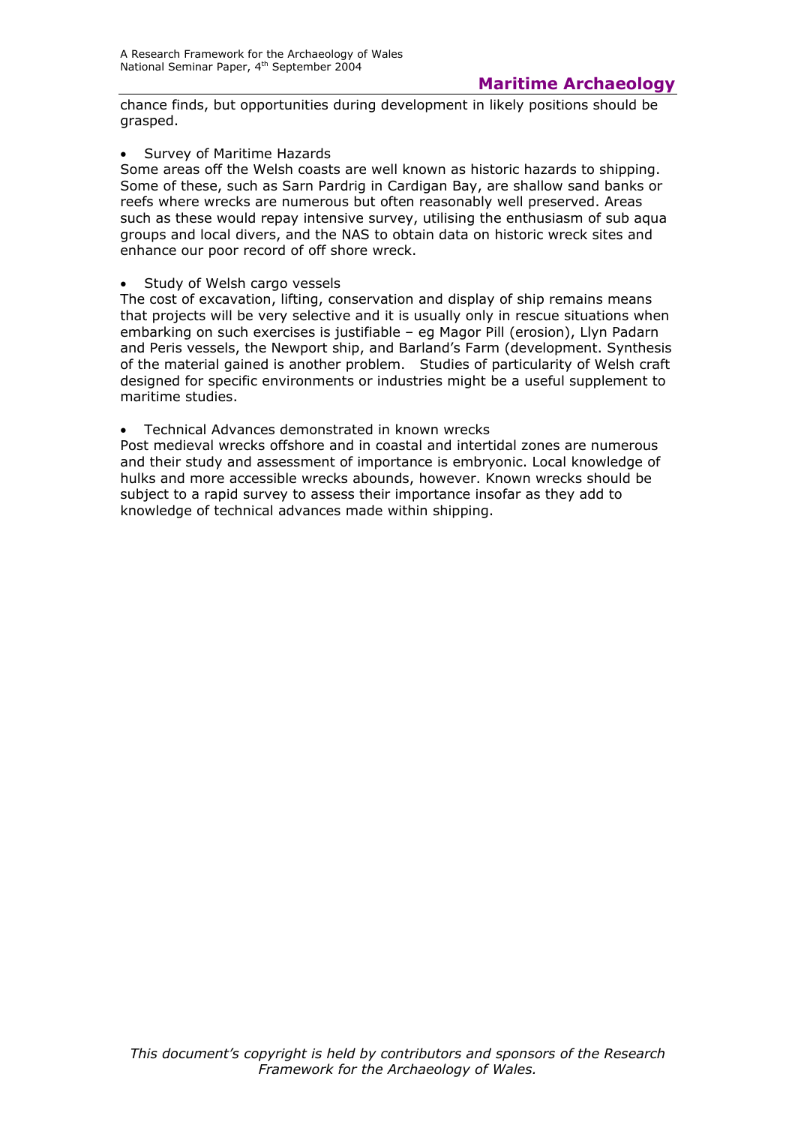chance finds, but opportunities during development in likely positions should be grasped.

• Survey of Maritime Hazards

Some areas off the Welsh coasts are well known as historic hazards to shipping. Some of these, such as Sarn Pardrig in Cardigan Bay, are shallow sand banks or reefs where wrecks are numerous but often reasonably well preserved. Areas such as these would repay intensive survey, utilising the enthusiasm of sub aqua groups and local divers, and the NAS to obtain data on historic wreck sites and enhance our poor record of off shore wreck.

Study of Welsh cargo vessels

The cost of excavation, lifting, conservation and display of ship remains means that projects will be very selective and it is usually only in rescue situations when embarking on such exercises is justifiable – eg Magor Pill (erosion), Llyn Padarn and Peris vessels, the Newport ship, and Barland's Farm (development. Synthesis of the material gained is another problem. Studies of particularity of Welsh craft designed for specific environments or industries might be a useful supplement to maritime studies.

• Technical Advances demonstrated in known wrecks

Post medieval wrecks offshore and in coastal and intertidal zones are numerous and their study and assessment of importance is embryonic. Local knowledge of hulks and more accessible wrecks abounds, however. Known wrecks should be subject to a rapid survey to assess their importance insofar as they add to knowledge of technical advances made within shipping.